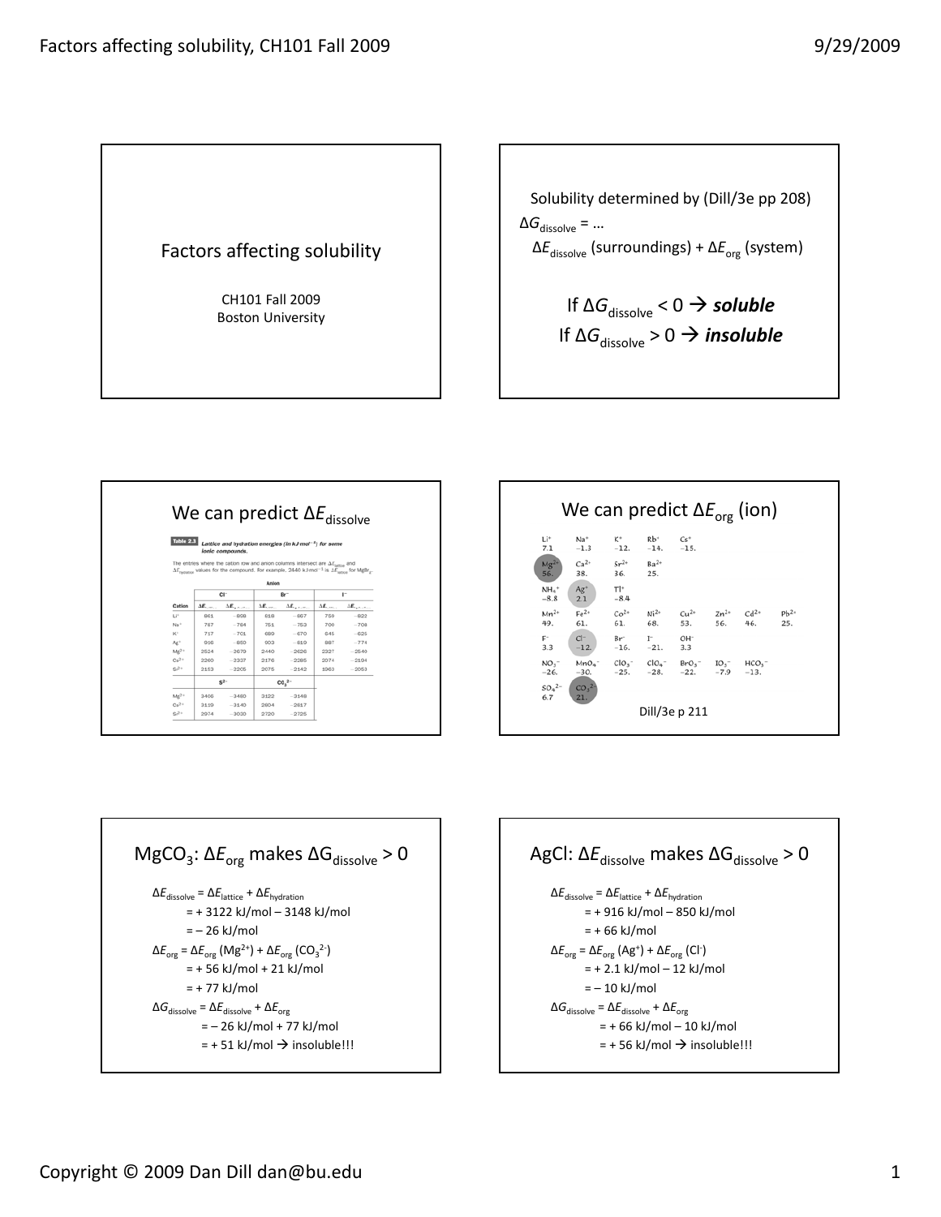



| Li*<br>7.1                   | $Na+$<br>$-1.3$                     | K°<br>$-12.$                   | $Rb^+$<br>$-14.$                  | $Cs^*$<br>$-15.$                         |                  |                  |                  |
|------------------------------|-------------------------------------|--------------------------------|-----------------------------------|------------------------------------------|------------------|------------------|------------------|
| $Mg^{2+}$<br>56.             | $Ca2+$<br>38.                       | $Sr^{2+}$ $Ba^{2+}$<br>36. 25. |                                   |                                          |                  |                  |                  |
| $NHa$ <sup>+</sup><br>$-8.8$ | $Ag*$<br>2.1                        | $T$  +<br>$-8.4$               |                                   |                                          |                  |                  |                  |
| $Mn^{2+}$<br>49.             | $Fe2+$<br>61.                       | 61.                            | $Co^{2+}$ Ni <sup>2+</sup><br>68. | $Cu^{2+}$<br>53.                         | $Zn^{2+}$<br>56. | $Cd^{2*}$<br>46. | $Pb^{2*}$<br>25. |
| $F^-$<br>3.3                 | $Cl^-$<br>$-12.$                    | $Br^-$                         | $I^-$<br>$-16. -21.$              | OH-<br>3.3                               |                  |                  |                  |
| NO <sub>3</sub><br>$-26.$    | $-30.$                              | $-25.$                         | $-28.$                            | $MnO4$ $ClO3$ $ClO4$ $BrO3$ $IO3$ $HCO3$ | $-22. -7.9$      | $-13.$           |                  |
| $SO_4^{2-}$<br>6.7           | CO <sub>3</sub> <sup>2</sup><br>21. |                                |                                   |                                          |                  |                  |                  |

$$
MgCO3: \Delta Eorg makes \Delta Gdissolve > 0
$$
  
\n
$$
\Delta Edissolve = \Delta Elattice + \Delta Ehydration
$$
  
\n= + 3122 kJ/mol – 3148 kJ/mol  
\n= - 26 kJ/mol  
\n
$$
\Delta Eorg = \Delta Eorg (Mg2+) + \Delta Eorg (CO32-)
$$
  
\n= + 56 kJ/mol + 21 kJ/mol  
\n= + 77 kJ/mol  
\n
$$
\Delta Gdissolve = \Delta Edissolve + \Delta Eorg
$$
  
\n= - 26 kJ/mol + 77 kJ/mol  
\n= + 51 kJ/mol → insoluble!!